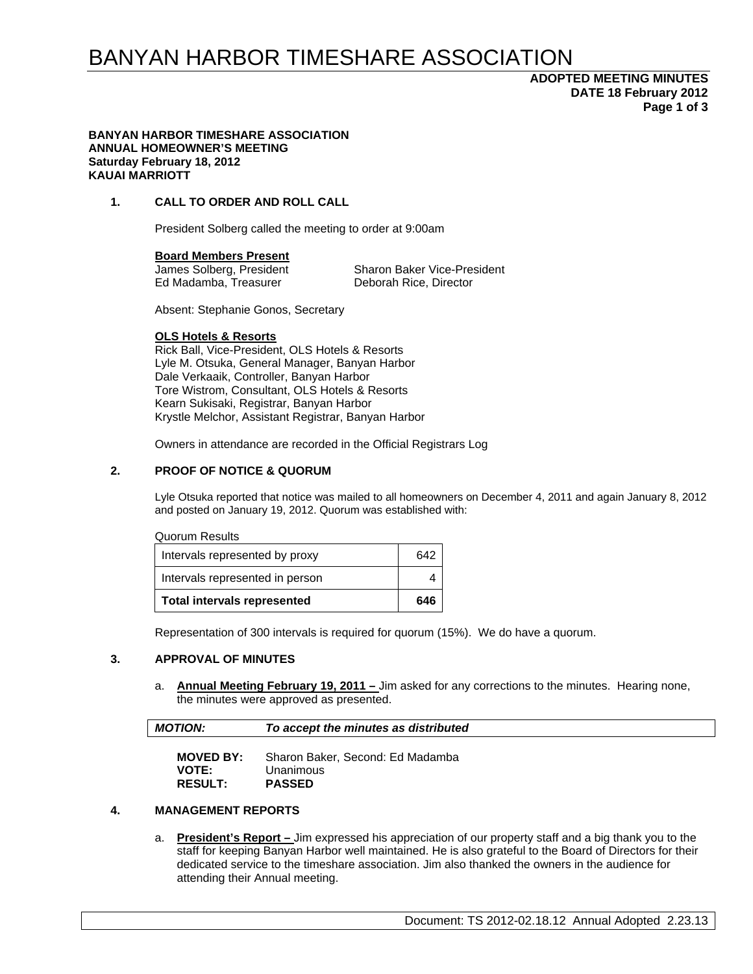# BANYAN HARBOR TIMESHARE ASSOCIATION

# **ADOPTED MEETING MINUTES DATE 18 February 2012 Page 1 of 3**

#### **BANYAN HARBOR TIMESHARE ASSOCIATION ANNUAL HOMEOWNER'S MEETING Saturday February 18, 2012 KAUAI MARRIOTT**

### **1. CALL TO ORDER AND ROLL CALL**

President Solberg called the meeting to order at 9:00am

**Board Members Present** 

Ed Madamba, Treasurer Deborah Rice, Director

James Solberg, President Sharon Baker Vice-President

Absent: Stephanie Gonos, Secretary

### **OLS Hotels & Resorts**

Rick Ball, Vice-President, OLS Hotels & Resorts Lyle M. Otsuka, General Manager, Banyan Harbor Dale Verkaaik, Controller, Banyan Harbor Tore Wistrom, Consultant, OLS Hotels & Resorts Kearn Sukisaki, Registrar, Banyan Harbor Krystle Melchor, Assistant Registrar, Banyan Harbor

Owners in attendance are recorded in the Official Registrars Log

### **2. PROOF OF NOTICE & QUORUM**

Lyle Otsuka reported that notice was mailed to all homeowners on December 4, 2011 and again January 8, 2012 and posted on January 19, 2012. Quorum was established with:

Quorum Results

| <b>Total intervals represented</b> | 646 |  |
|------------------------------------|-----|--|
| Intervals represented in person    |     |  |
| Intervals represented by proxy     | 642 |  |

Representation of 300 intervals is required for quorum (15%). We do have a quorum.

### **3. APPROVAL OF MINUTES**

a. **Annual Meeting February 19, 2011 –** Jim asked for any corrections to the minutes. Hearing none, the minutes were approved as presented.

| <b>MOTION:</b>   | To accept the minutes as distributed |
|------------------|--------------------------------------|
| <b>MOVED BY:</b> | Sharon Baker, Second: Ed Madamba     |
| $1.0 - 7.0$      |                                      |

# **VOTE:** Unanimous<br>**RESULT: PASSED**  $RESULT:$

# **4. MANAGEMENT REPORTS**

a. **President's Report –** Jim expressed his appreciation of our property staff and a big thank you to the staff for keeping Banyan Harbor well maintained. He is also grateful to the Board of Directors for their dedicated service to the timeshare association. Jim also thanked the owners in the audience for attending their Annual meeting.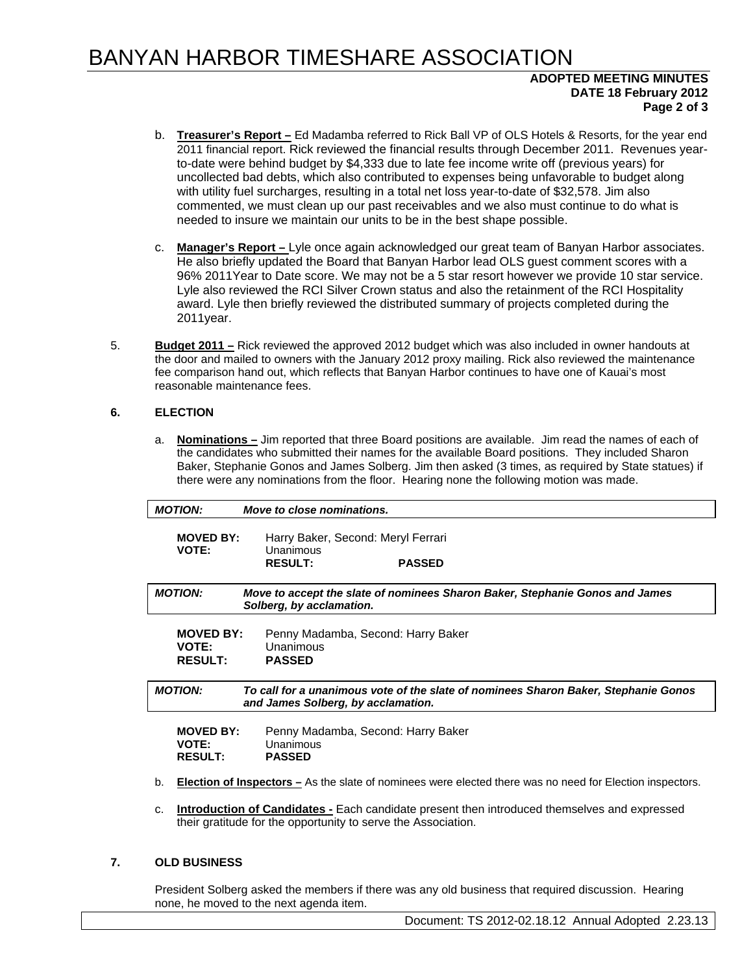# BANYAN HARBOR TIMESHARE ASSOCIATION

## **ADOPTED MEETING MINUTES DATE 18 February 2012 Page 2 of 3**

- b. **Treasurer's Report –** Ed Madamba referred to Rick Ball VP of OLS Hotels & Resorts, for the year end 2011 financial report. Rick reviewed the financial results through December 2011. Revenues yearto-date were behind budget by \$4,333 due to late fee income write off (previous years) for uncollected bad debts, which also contributed to expenses being unfavorable to budget along with utility fuel surcharges, resulting in a total net loss year-to-date of \$32,578. Jim also commented, we must clean up our past receivables and we also must continue to do what is needed to insure we maintain our units to be in the best shape possible.
- c. **Manager's Report** Lyle once again acknowledged our great team of Banyan Harbor associates. He also briefly updated the Board that Banyan Harbor lead OLS guest comment scores with a 96% 2011Year to Date score. We may not be a 5 star resort however we provide 10 star service. Lyle also reviewed the RCI Silver Crown status and also the retainment of the RCI Hospitality award. Lyle then briefly reviewed the distributed summary of projects completed during the 2011year.
- 5. **Budget 2011 –** Rick reviewed the approved 2012 budget which was also included in owner handouts at the door and mailed to owners with the January 2012 proxy mailing. Rick also reviewed the maintenance fee comparison hand out, which reflects that Banyan Harbor continues to have one of Kauai's most reasonable maintenance fees.

### **6. ELECTION**

a. **Nominations –** Jim reported that three Board positions are available. Jim read the names of each of the candidates who submitted their names for the available Board positions. They included Sharon Baker, Stephanie Gonos and James Solberg. Jim then asked (3 times, as required by State statues) if there were any nominations from the floor. Hearing none the following motion was made.

| <b>MOTION:</b>   | Move to close nominations.                                                                               |
|------------------|----------------------------------------------------------------------------------------------------------|
| <b>MOVED BY:</b> | Harry Baker, Second: Meryl Ferrari                                                                       |
| <b>VOTE:</b>     | Unanimous                                                                                                |
|                  | <b>RESULT:</b><br><b>PASSED</b>                                                                          |
| <b>MOTION:</b>   | Move to accept the slate of nominees Sharon Baker, Stephanie Gonos and James<br>Solberg, by acclamation. |
|                  |                                                                                                          |
| <b>MOVED BY:</b> | Penny Madamba, Second: Harry Baker                                                                       |
| <b>VOTE:</b>     | Unanimous                                                                                                |
| <b>RESULT:</b>   | <b>PASSED</b>                                                                                            |
| <b>MOTION:</b>   | To call for a unanimous vote of the slate of nominees Sharon Baker, Stephanie Gonos                      |
|                  | and James Solberg, by acclamation.                                                                       |
| <b>MOVED BY:</b> |                                                                                                          |
| <b>VOTE:</b>     | Penny Madamba, Second: Harry Baker<br>Unanimous                                                          |

### **7. OLD BUSINESS**

President Solberg asked the members if there was any old business that required discussion. Hearing none, he moved to the next agenda item.

their gratitude for the opportunity to serve the Association.